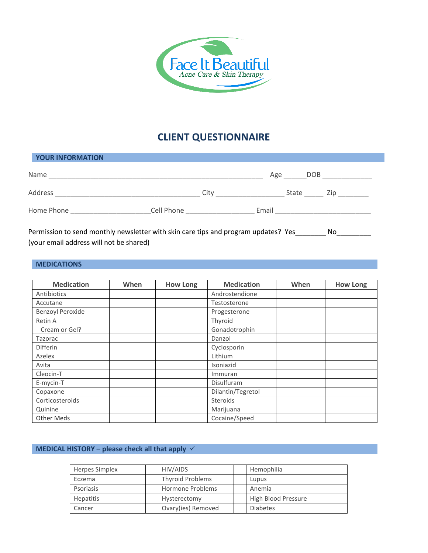

# **CLIENT QUESTIONNAIRE**

| YOUR INFORMATION |            |      |       |       |      |
|------------------|------------|------|-------|-------|------|
| Name             |            |      | Age   | DOB   |      |
| Address          |            | City |       | State | Zip. |
| Home Phone       | Cell Phone |      | Email |       |      |

Permission to send monthly newsletter with skin care tips and program updates? Yes\_\_\_\_\_\_\_\_ No\_\_\_\_\_ (your email address will not be shared)

#### **MEDICATIONS**

| <b>Medication</b>       | When | <b>How Long</b> | <b>Medication</b> | When | <b>How Long</b> |
|-------------------------|------|-----------------|-------------------|------|-----------------|
| Antibiotics             |      |                 | Androstendione    |      |                 |
| Accutane                |      |                 | Testosterone      |      |                 |
| <b>Benzoyl Peroxide</b> |      |                 | Progesterone      |      |                 |
| Retin A                 |      |                 | Thyroid           |      |                 |
| Cream or Gel?           |      |                 | Gonadotrophin     |      |                 |
| Tazorac                 |      |                 | Danzol            |      |                 |
| Differin                |      |                 | Cyclosporin       |      |                 |
| Azelex                  |      |                 | Lithium           |      |                 |
| Avita                   |      |                 | Isoniazid         |      |                 |
| Cleocin-T               |      |                 | Immuran           |      |                 |
| E-mycin-T               |      |                 | Disulfuram        |      |                 |
| Copaxone                |      |                 | Dilantin/Tegretol |      |                 |
| Corticosteroids         |      |                 | <b>Steroids</b>   |      |                 |
| Quinine                 |      |                 | Marijuana         |      |                 |
| Other Meds              |      |                 | Cocaine/Speed     |      |                 |

#### **MEDICAL HISTORY – please check all that apply**

| Herpes Simplex   | HIV/AIDS                | Hemophilia          |  |
|------------------|-------------------------|---------------------|--|
| Eczema           | <b>Thyroid Problems</b> | Lupus               |  |
| Psoriasis        | Hormone Problems        | Anemia              |  |
| <b>Hepatitis</b> | Hysterectomy            | High Blood Pressure |  |
| Cancer           | Ovary(ies) Removed      | <b>Diabetes</b>     |  |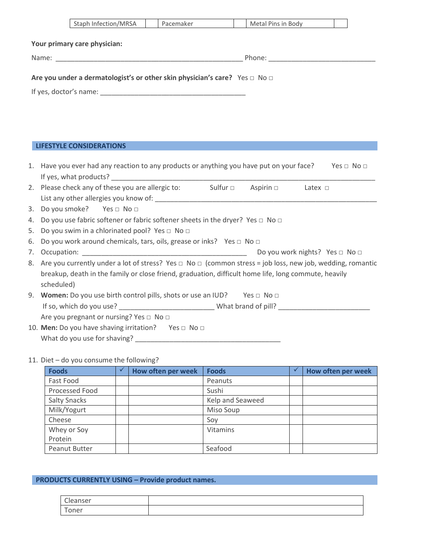|    | Staph Infection/MRSA<br>Metal Pins in Body<br>Pacemaker                                                                |
|----|------------------------------------------------------------------------------------------------------------------------|
|    | Your primary care physician:                                                                                           |
|    |                                                                                                                        |
|    | Are you under a dermatologist's or other skin physician's care? Yes $\Box$ No $\Box$                                   |
|    |                                                                                                                        |
|    |                                                                                                                        |
|    |                                                                                                                        |
|    |                                                                                                                        |
|    |                                                                                                                        |
|    |                                                                                                                        |
|    | <b>LIFESTYLE CONSIDERATIONS</b>                                                                                        |
|    |                                                                                                                        |
|    | 1. Have you ever had any reaction to any products or anything you have put on your face?<br>Yes $\Box$ No $\Box$       |
|    |                                                                                                                        |
|    | 2. Please check any of these you are allergic to: Sulfur □ Aspirin □ Latex □                                           |
|    |                                                                                                                        |
| 3. | Do you smoke? Yes □ No □                                                                                               |
|    | 4. Do you use fabric softener or fabric softener sheets in the dryer? Yes □ No □                                       |
| 5. | Do you swim in a chlorinated pool? Yes □ No □                                                                          |
| 6. | Do you work around chemicals, tars, oils, grease or inks? Yes □ No □                                                   |
| 7. | Do you work nights? Yes □ No □                                                                                         |
|    | 8. Are you currently under a lot of stress? Yes $\Box$ No $\Box$ (common stress = job loss, new job, wedding, romantic |
|    | breakup, death in the family or close friend, graduation, difficult home life, long commute, heavily                   |
|    | scheduled)                                                                                                             |
|    | 9. <b>Women:</b> Do you use birth control pills, shots or use an IUD? Yes $\Box$ No $\Box$                             |
|    |                                                                                                                        |
|    | Are you pregnant or nursing? Yes □ No □                                                                                |
|    | 10. Men: Do you have shaving irritation? Yes □ No □                                                                    |
|    | What do you use for shaving?                                                                                           |

### 11. Diet – do you consume the following?

| <b>Foods</b>         | How often per week | <b>Foods</b>     | How often per week |
|----------------------|--------------------|------------------|--------------------|
| Fast Food            |                    | Peanuts          |                    |
| Processed Food       |                    | Sushi            |                    |
| <b>Salty Snacks</b>  |                    | Kelp and Seaweed |                    |
| Milk/Yogurt          |                    | Miso Soup        |                    |
| Cheese               |                    | Soy              |                    |
| Whey or Soy          |                    | <b>Vitamins</b>  |                    |
| Protein              |                    |                  |                    |
| <b>Peanut Butter</b> |                    | Seafood          |                    |

# **PRODUCTS CURRENTLY USING – Provide product names.**

| $\sim$<br>anser |  |
|-----------------|--|
| -<br>ำner       |  |